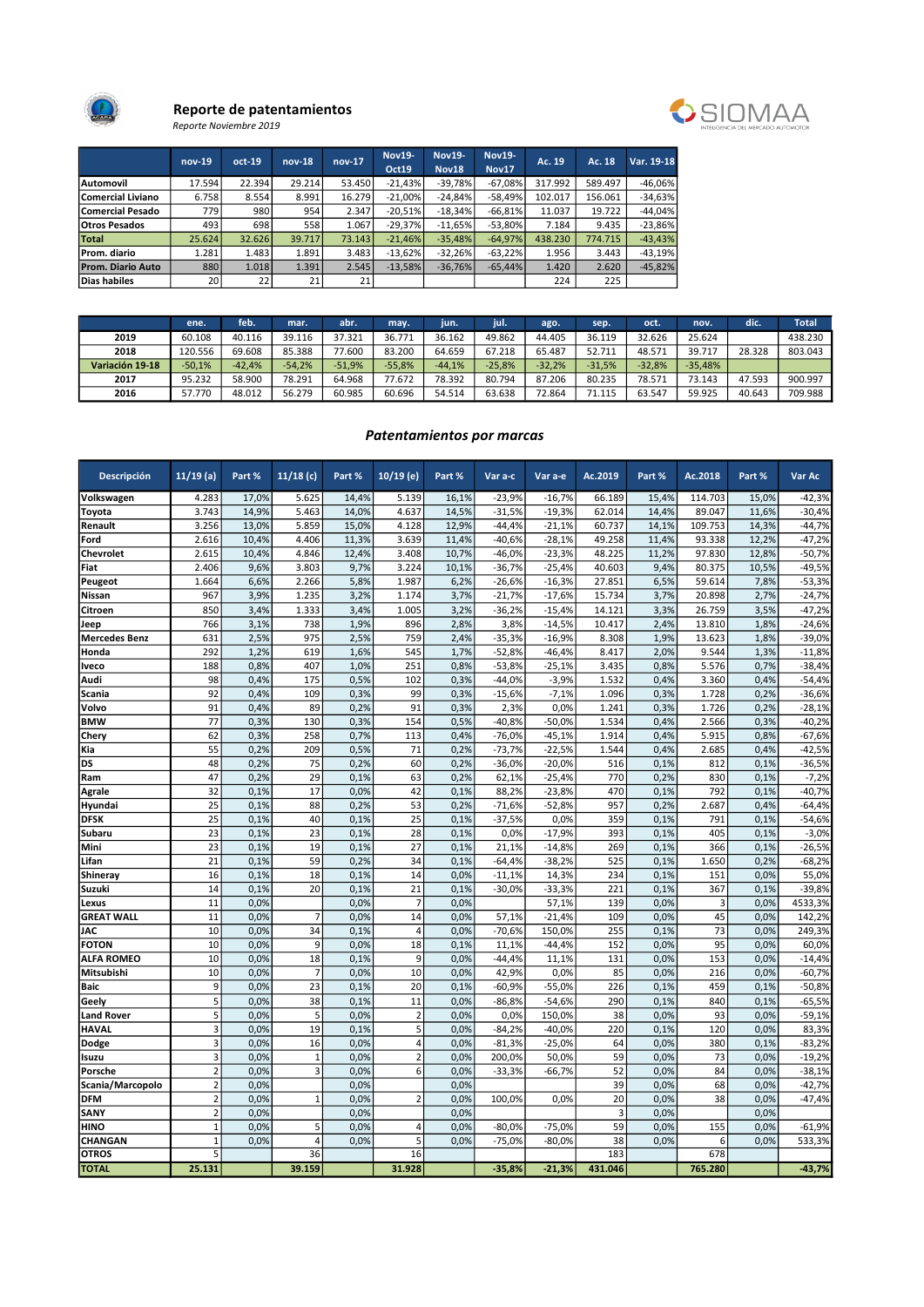

### Reporte de patentamientos Reporte Noviembre 2019



|                          | $nov-19$        | $oct-19$ | $nov-18$ | $nov-17$ | <b>Nov19-</b><br>Oct19 | <b>Nov19-</b><br><b>Nov18</b> | <b>Nov19-</b><br><b>Nov17</b> | Ac. 19  | Ac. 18  | Var. 19-18 |
|--------------------------|-----------------|----------|----------|----------|------------------------|-------------------------------|-------------------------------|---------|---------|------------|
| Automovil                | 17.594          | 22.394   | 29.214   | 53.450   | $-21.43%$              | $-39.78%$                     | $-67.08%$                     | 317.992 | 589.497 | $-46.06%$  |
| Comercial Liviano        | 6.758           | 8.554    | 8.991    | 16.279   | $-21.00\%$             | $-24.84%$                     | $-58.49%$                     | 102.017 | 156.061 | $-34.63%$  |
| Comercial Pesado         | 779             | 980      | 954      | 2.347    | $-20.51%$              | $-18.34\%$                    | $-66.81\%$                    | 11.037  | 19.722  | $-44.04%$  |
| <b>Otros Pesados</b>     | 493             | 698      | 558      | 1.067    | $-29.37\%$             | $-11.65%$                     | $-53.80\%$                    | 7.184   | 9.435   | $-23.86%$  |
| Total                    | 25.624          | 32.626   | 39.717   | 73.143   | $-21.46%$              | $-35.48\%$                    | $-64.97%$                     | 438.230 | 774.715 | $-43.43%$  |
| Prom. diario             | 1.281           | 1.483    | 1.891    | 3.483    | $-13.62%$              | $-32.26%$                     | $-63.22\%$                    | 1.956   | 3.443   | $-43.19%$  |
| <b>Prom. Diario Auto</b> | 880             | 1.018    | 1.391    | 2.545    | $-13,58%$              | $-36,76%$                     | $-65.44\%$                    | 1.420   | 2.620   | $-45,82%$  |
| Dias habiles             | 20 <sup>1</sup> | 22       | 21       | 21       |                        |                               |                               | 224     | 225     |            |

|                 | ene.     | feb.     | mar.     | abr.     | may.     | iun.     | <b>TUIL</b> | ago.     | sep.     | oct.     | nov.      | dic.   | <b>Total</b> |
|-----------------|----------|----------|----------|----------|----------|----------|-------------|----------|----------|----------|-----------|--------|--------------|
| 2019            | 60.108   | 40.116   | 39.116   | 37.321   | 36.771   | 36.162   | 49.862      | 44.405   | 36.119   | 32.626   | 25.624    |        | 438.230      |
| 2018            | 120.556  | 69.608   | 85.388   | 77.600   | 83.200   | 64.659   | 67.218      | 65.487   | 52.711   | 48.571   | 39.717    | 28.328 | 803.043      |
| Variación 19-18 | $-50,1%$ | $-42.4%$ | $-54.2%$ | $-51.9%$ | $-55.8%$ | $-44.1%$ | $-25.8%$    | $-32.2%$ | $-31.5%$ | $-32.8%$ | $-35.48%$ |        |              |
| 2017            | 95.232   | 58.900   | 78.291   | 64.968   | 77.672   | 78.392   | 80.794      | 87.206   | 80.235   | 78.571   | 73.143    | 47.593 | 900.997      |
| 2016            | 57.770   | 48.012   | 56.279   | 60.985   | 60.696   | 54.514   | 63.638      | 72.864   | 71.115   | 63.547   | 59.925    | 40.643 | 709.988      |

# Patentamientos por marcas

| Descripción          | $11/19$ (a)             | Part % | $11/18$ (c)    | Part % | $10/19$ (e)    | Part % | Var a-c  | Var a-e  | Ac.2019        | Part % | Ac.2018 | Part % | Var Ac   |
|----------------------|-------------------------|--------|----------------|--------|----------------|--------|----------|----------|----------------|--------|---------|--------|----------|
| Volkswagen           | 4.283                   | 17,0%  | 5.625          | 14,4%  | 5.139          | 16,1%  | $-23,9%$ | $-16,7%$ | 66.189         | 15,4%  | 114.703 | 15,0%  | $-42,3%$ |
| Toyota               | 3.743                   | 14,9%  | 5.463          | 14,0%  | 4.637          | 14,5%  | $-31,5%$ | $-19,3%$ | 62.014         | 14,4%  | 89.047  | 11,6%  | $-30,4%$ |
| Renault              | 3.256                   | 13,0%  | 5.859          | 15,0%  | 4.128          | 12,9%  | $-44,4%$ | $-21,1%$ | 60.737         | 14,1%  | 109.753 | 14,3%  | $-44,7%$ |
| Ford                 | 2.616                   | 10,4%  | 4.406          | 11,3%  | 3.639          | 11,4%  | $-40,6%$ | $-28,1%$ | 49.258         | 11,4%  | 93.338  | 12,2%  | $-47,2%$ |
| Chevrolet            | 2.615                   | 10,4%  | 4.846          | 12,4%  | 3.408          | 10,7%  | $-46,0%$ | $-23,3%$ | 48.225         | 11,2%  | 97.830  | 12,8%  | $-50,7%$ |
| Fiat                 | 2.406                   | 9,6%   | 3.803          | 9,7%   | 3.224          | 10,1%  | $-36,7%$ | $-25,4%$ | 40.603         | 9,4%   | 80.375  | 10,5%  | $-49,5%$ |
| Peugeot              | 1.664                   | 6,6%   | 2.266          | 5,8%   | 1.987          | 6,2%   | $-26,6%$ | $-16,3%$ | 27.851         | 6,5%   | 59.614  | 7,8%   | $-53,3%$ |
| Nissan               | 967                     | 3,9%   | 1.235          | 3,2%   | 1.174          | 3,7%   | $-21,7%$ | $-17,6%$ | 15.734         | 3,7%   | 20.898  | 2,7%   | $-24,7%$ |
| Citroen              | 850                     | 3,4%   | 1.333          | 3,4%   | 1.005          | 3,2%   | $-36,2%$ | $-15,4%$ | 14.121         | 3,3%   | 26.759  | 3,5%   | $-47,2%$ |
| leep                 | 766                     | 3,1%   | 738            | 1,9%   | 896            | 2,8%   | 3,8%     | $-14,5%$ | 10.417         | 2,4%   | 13.810  | 1,8%   | $-24,6%$ |
| <b>Mercedes Benz</b> | 631                     | 2,5%   | 975            | 2,5%   | 759            | 2,4%   | $-35,3%$ | $-16,9%$ | 8.308          | 1,9%   | 13.623  | 1,8%   | $-39,0%$ |
| Honda                | 292                     | 1,2%   | 619            | 1,6%   | 545            | 1,7%   | $-52,8%$ | $-46,4%$ | 8.417          | 2,0%   | 9.544   | 1,3%   | $-11,8%$ |
| <b>Iveco</b>         | 188                     | 0,8%   | 407            | 1,0%   | 251            | 0,8%   | $-53,8%$ | $-25,1%$ | 3.435          | 0,8%   | 5.576   | 0,7%   | $-38,4%$ |
| Audi                 | 98                      | 0,4%   | 175            | 0,5%   | 102            | 0,3%   | $-44,0%$ | $-3,9%$  | 1.532          | 0,4%   | 3.360   | 0,4%   | $-54,4%$ |
| Scania               | 92                      | 0,4%   | 109            | 0,3%   | 99             | 0,3%   | $-15,6%$ | $-7,1%$  | 1.096          | 0,3%   | 1.728   | 0,2%   | $-36,6%$ |
| Volvo                | 91                      | 0,4%   | 89             | 0,2%   | 91             | 0,3%   | 2,3%     | 0.0%     | 1.241          | 0,3%   | 1.726   | 0,2%   | $-28,1%$ |
| <b>BMW</b>           | 77                      | 0,3%   | 130            | 0,3%   | 154            | 0,5%   | $-40,8%$ | $-50,0%$ | 1.534          | 0,4%   | 2.566   | 0,3%   | $-40,2%$ |
| Chery                | 62                      | 0,3%   | 258            | 0,7%   | 113            | 0,4%   | $-76,0%$ | $-45,1%$ | 1.914          | 0,4%   | 5.915   | 0,8%   | $-67,6%$ |
| Kia                  | 55                      | 0,2%   | 209            | 0,5%   | 71             | 0,2%   | $-73,7%$ | $-22,5%$ | 1.544          | 0,4%   | 2.685   | 0,4%   | $-42,5%$ |
| <b>DS</b>            | 48                      | 0,2%   | 75             | 0,2%   | 60             | 0,2%   | $-36,0%$ | $-20.0%$ | 516            | 0,1%   | 812     | 0.1%   | $-36,5%$ |
| Ram                  | 47                      | 0,2%   | 29             | 0,1%   | 63             | 0,2%   | 62,1%    | $-25,4%$ | 770            | 0,2%   | 830     | 0,1%   | $-7,2%$  |
| Agrale               | 32                      | 0,1%   | 17             | 0,0%   | 42             | 0,1%   | 88,2%    | $-23,8%$ | 470            | 0,1%   | 792     | 0,1%   | $-40,7%$ |
| Hyundai              | 25                      | 0,1%   | 88             | 0,2%   | 53             | 0,2%   | $-71,6%$ | $-52,8%$ | 957            | 0,2%   | 2.687   | 0,4%   | $-64,4%$ |
| <b>DFSK</b>          | 25                      | 0,1%   | 40             | 0,1%   | 25             | 0,1%   | $-37,5%$ | 0,0%     | 359            | 0,1%   | 791     | 0,1%   | $-54,6%$ |
| Subaru               | 23                      | 0,1%   | 23             | 0,1%   | 28             | 0,1%   | 0,0%     | $-17,9%$ | 393            | 0,1%   | 405     | 0,1%   | $-3,0%$  |
| Mini                 | 23                      | 0,1%   | 19             | 0,1%   | 27             | 0,1%   | 21,1%    | $-14,8%$ | 269            | 0,1%   | 366     | 0,1%   | $-26,5%$ |
| Lifan                | 21                      | 0.1%   | 59             | 0,2%   | 34             | 0.1%   | $-64,4%$ | $-38,2%$ | 525            | 0,1%   | 1.650   | 0,2%   | $-68,2%$ |
| Shineray             | 16                      | 0,1%   | 18             | 0,1%   | 14             | 0,0%   | $-11,1%$ | 14,3%    | 234            | 0,1%   | 151     | 0,0%   | 55,0%    |
| Suzuki               | 14                      | 0.1%   | 20             | 0,1%   | 21             | 0,1%   | $-30,0%$ | $-33,3%$ | 221            | 0,1%   | 367     | 0,1%   | $-39,8%$ |
| Lexus                | 11                      | 0,0%   |                | 0,0%   | $\overline{7}$ | 0,0%   |          | 57,1%    | 139            | 0,0%   | 3       | 0.0%   | 4533,3%  |
| <b>GREAT WALL</b>    | 11                      | 0,0%   | $\overline{7}$ | 0,0%   | 14             | 0,0%   | 57,1%    | $-21,4%$ | 109            | 0,0%   | 45      | 0,0%   | 142,2%   |
| <b>JAC</b>           | 10                      | 0,0%   | 34             | 0,1%   | 4              | 0,0%   | $-70,6%$ | 150,0%   | 255            | 0,1%   | 73      | 0,0%   | 249,3%   |
| <b>FOTON</b>         | 10                      | 0,0%   | 9              | 0,0%   | 18             | 0,1%   | 11,1%    | $-44,4%$ | 152            | 0,0%   | 95      | 0,0%   | 60,0%    |
| <b>ALFA ROMEO</b>    | 10                      | 0,0%   | 18             | 0,1%   | 9              | 0,0%   | $-44,4%$ | 11,1%    | 131            | 0,0%   | 153     | 0,0%   | $-14,4%$ |
| Mitsubishi           | 10                      | 0,0%   | $\overline{7}$ | 0,0%   | 10             | 0,0%   | 42,9%    | 0,0%     | 85             | 0,0%   | 216     | 0,0%   | $-60,7%$ |
| Baic                 | 9                       | 0,0%   | 23             | 0,1%   | 20             | 0,1%   | $-60,9%$ | $-55,0%$ | 226            | 0,1%   | 459     | 0,1%   | $-50,8%$ |
| Geely                | 5                       | 0,0%   | 38             | 0,1%   | 11             | 0,0%   | $-86,8%$ | $-54,6%$ | 290            | 0,1%   | 840     | 0,1%   | $-65,5%$ |
| <b>Land Rover</b>    | 5                       | 0,0%   | 5              | 0,0%   | $\overline{2}$ | 0,0%   | 0,0%     | 150,0%   | 38             | 0.0%   | 93      | 0.0%   | $-59,1%$ |
| <b>HAVAL</b>         | 3                       | 0,0%   | 19             | 0,1%   | 5              | 0,0%   | $-84,2%$ | $-40,0%$ | 220            | 0,1%   | 120     | 0,0%   | 83,3%    |
| Dodge                | $\overline{\mathbf{3}}$ | 0,0%   | 16             | 0,0%   | 4              | 0,0%   | $-81,3%$ | $-25,0%$ | 64             | 0.0%   | 380     | 0,1%   | $-83,2%$ |
| Isuzu                | 3                       | 0,0%   | $\mathbf{1}$   | 0,0%   | $\overline{2}$ | 0,0%   | 200,0%   | 50,0%    | 59             | 0,0%   | 73      | 0,0%   | $-19,2%$ |
| Porsche              | $\overline{2}$          | 0,0%   | 3              | 0,0%   | 6              | 0,0%   | $-33,3%$ | $-66,7%$ | 52             | 0,0%   | 84      | 0,0%   | $-38,1%$ |
| Scania/Marcopolo     | $\overline{2}$          | 0,0%   |                | 0,0%   |                | 0,0%   |          |          | 39             | 0,0%   | 68      | 0,0%   | $-42,7%$ |
| <b>DFM</b>           | $\overline{2}$          | 0,0%   | $\mathbf{1}$   | 0,0%   | $\overline{2}$ | 0,0%   | 100,0%   | 0,0%     | 20             | 0,0%   | 38      | 0,0%   | $-47,4%$ |
| SANY                 | $\overline{2}$          | 0,0%   |                | 0,0%   |                | 0,0%   |          |          | $\overline{3}$ | 0,0%   |         | 0.0%   |          |
| <b>HINO</b>          | $\mathbf{1}$            | 0,0%   | 5              | 0,0%   | 4              | 0,0%   | $-80,0%$ | $-75,0%$ | 59             | 0,0%   | 155     | 0,0%   | $-61,9%$ |
| CHANGAN              | $\overline{1}$          | 0,0%   | 4              | 0,0%   | 5              | 0,0%   | $-75,0%$ | $-80,0%$ | 38             | 0,0%   | 6       | 0,0%   | 533,3%   |
| <b>OTROS</b>         | $\overline{5}$          |        | 36             |        | 16             |        |          |          | 183            |        | 678     |        |          |
| <b>TOTAL</b>         | 25.131                  |        | 39.159         |        | 31.928         |        | $-35,8%$ | $-21,3%$ | 431.046        |        | 765.280 |        | $-43,7%$ |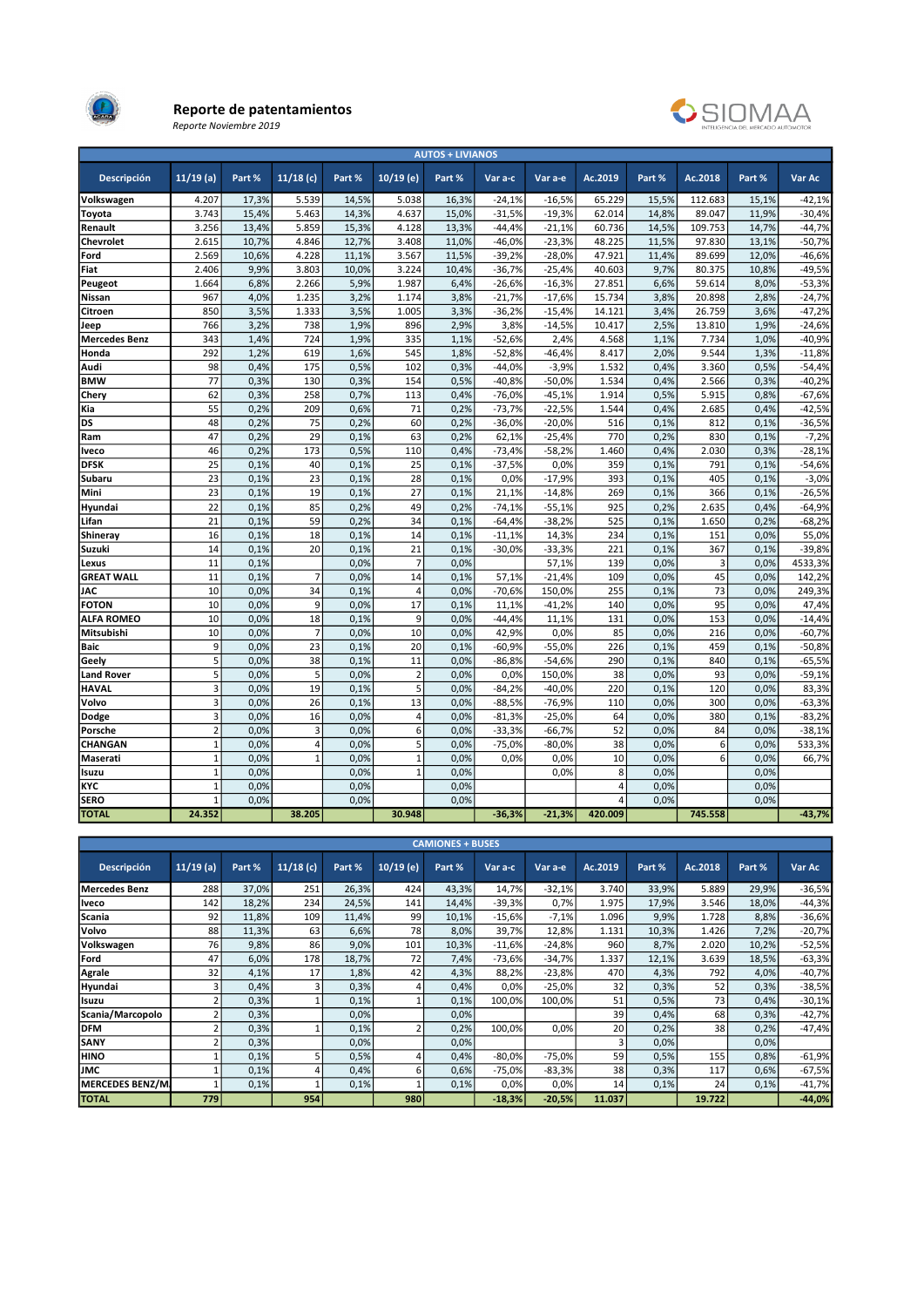

#### Reporte de patentamientos Reporte Noviembre 2019



| <b>AUTOS + LIVIANOS</b> |                |              |                |              |                |              |                      |                      |                |              |                |              |                      |
|-------------------------|----------------|--------------|----------------|--------------|----------------|--------------|----------------------|----------------------|----------------|--------------|----------------|--------------|----------------------|
| <b>Descripción</b>      | $11/19$ (a)    | Part %       | $11/18$ (c)    | Part %       | $10/19$ (e)    | Part %       | Var a-c              | Var a-e              | Ac.2019        | Part %       | Ac.2018        | Part %       | Var Ac               |
| Volkswagen              | 4.207          | 17.3%        | 5.539          | 14.5%        | 5.038          | 16.3%        | $-24.1%$             | $-16.5%$             | 65.229         | 15.5%        | 112.683        | 15.1%        | $-42.1%$             |
| Toyota                  | 3.743          | 15,4%        | 5.463          | 14,3%        | 4.637          | 15,0%        | $-31,5%$             | $-19,3%$             | 62.014         | 14,8%        | 89.047         | 11,9%        | $-30,4%$             |
| Renault                 | 3.256          | 13,4%        | 5.859          | 15,3%        | 4.128          | 13,3%        | $-44,4%$             | $-21,1%$             | 60.736         | 14,5%        | 109.753        | 14,7%        | $-44,7%$             |
| Chevrolet               | 2.615          | 10,7%        | 4.846          | 12,7%        | 3.408          | 11,0%        | $-46,0%$             | $-23,3%$             | 48.225         | 11,5%        | 97.830         | 13,1%        | $-50,7%$             |
| Ford                    | 2.569          | 10,6%        | 4.228          | 11,1%        | 3.567          | 11,5%        | $-39,2%$             | $-28,0%$             | 47.921         | 11,4%        | 89.699         | 12,0%        | $-46,6%$             |
| Fiat                    | 2.406          | 9,9%         | 3.803          | 10,0%        | 3.224          | 10,4%        | $-36,7%$             | $-25,4%$             | 40.603         | 9,7%         | 80.375         | 10,8%        | $-49,5%$             |
| Peugeot                 | 1.664          | 6,8%         | 2.266          | 5,9%         | 1.987          | 6,4%         | $-26,6%$             | $-16,3%$             | 27.851         | 6,6%         | 59.614         | 8,0%         | $-53,3%$             |
| Nissan                  | 967            | 4,0%         | 1.235          | 3,2%         | 1.174          | 3,8%         | $-21,7%$             | $-17,6%$             | 15.734         | 3,8%         | 20.898         | 2,8%         | $-24,7%$             |
| Citroen                 | 850            | 3,5%         | 1.333          | 3,5%         | 1.005          | 3,3%         | $-36,2%$             | $-15,4%$             | 14.121         | 3,4%         | 26.759         | 3,6%         | $-47,2%$             |
| Jeep                    | 766            | 3,2%         | 738            | 1,9%         | 896            | 2,9%         | 3,8%                 | $-14,5%$             | 10.417         | 2,5%         | 13.810         | 1,9%         | $-24,6%$             |
| <b>Mercedes Benz</b>    | 343            | 1,4%         | 724            | 1,9%         | 335            | 1,1%         | $-52,6%$             | 2,4%                 | 4.568          | 1,1%         | 7.734          | 1,0%         | $-40,9%$             |
| Honda                   | 292            | 1,2%         | 619            | 1,6%         | 545            | 1,8%         | $-52,8%$             | $-46,4%$             | 8.417          | 2.0%         | 9.544          | 1,3%         | $-11,8%$             |
| Audi                    | 98             | 0,4%         | 175            | 0,5%         | 102            | 0,3%         | $-44,0%$             | $-3,9%$              | 1.532          | 0,4%         | 3.360          | 0,5%         | $-54,4%$             |
| <b>BMW</b>              | 77             | 0,3%         | 130            | 0,3%         | 154            | 0,5%         | $-40,8%$             | $-50,0%$             | 1.534          | 0,4%         | 2.566          | 0,3%         | $-40,2%$             |
| Chery                   | 62             | 0,3%         | 258            | 0,7%         | 113            | 0,4%         | $-76,0%$             | $-45,1%$             | 1.914          | 0,5%         | 5.915          | 0,8%         | $-67,6%$             |
| Kia                     | 55             | 0,2%         | 209            | 0,6%         | 71             | 0,2%         | $-73,7%$             | $-22,5%$             | 1.544          | 0,4%         | 2.685          | 0,4%         | $-42,5%$             |
| DS                      | 48             | 0,2%         | 75             | 0,2%         | 60             | 0,2%         | $-36,0%$             | $-20,0%$             | 516            | 0,1%         | 812            | 0,1%         | $-36,5%$             |
| Ram                     | 47             | 0,2%         | 29             | 0,1%         | 63             | 0,2%         | 62,1%                | $-25,4%$             | 770            | 0,2%         | 830            | 0,1%         | $-7,2%$              |
| Iveco                   | 46             | 0.2%         | 173            | 0,5%         | 110            | 0,4%         | $-73,4%$             | $-58,2%$             | 1.460          | 0,4%         | 2.030          | 0,3%         | $-28,1%$             |
| <b>DFSK</b>             | 25             | 0,1%         | 40             | 0,1%         | 25             | 0.1%         | $-37,5%$             | 0.0%                 | 359            | 0,1%         | 791            | 0,1%         | $-54,6%$             |
| Subaru                  | 23<br>23       | 0,1%         | 23<br>19       | 0,1%         | 28<br>27       | 0.1%<br>0.1% | 0,0%                 | $-17,9%$             | 393<br>269     | 0,1%         | 405<br>366     | 0,1%         | $-3,0%$              |
| Mini                    | 22             | 0,1%         | 85             | 0,1%         |                |              | 21,1%                | $-14,8%$             |                | 0,1%         |                | 0,1%         | $-26,5%$             |
| Hyundai<br>Lifan        | 21             | 0,1%<br>0,1% | 59             | 0,2%<br>0,2% | 49<br>34       | 0,2%<br>0.1% | $-74,1%$<br>$-64,4%$ | $-55,1%$<br>$-38,2%$ | 925<br>525     | 0,2%<br>0,1% | 2.635<br>1.650 | 0,4%<br>0.2% | $-64,9%$<br>$-68,2%$ |
|                         | 16             | 0,1%         | 18             | 0,1%         | 14             | 0,1%         | $-11,1%$             | 14,3%                | 234            | 0,1%         | 151            | 0,0%         | 55,0%                |
| Shineray<br>Suzuki      | 14             | 0,1%         | 20             | 0,1%         | 21             | 0.1%         | $-30,0%$             | $-33,3%$             | 221            | 0,1%         | 367            | 0,1%         | $-39,8%$             |
| Lexus                   | 11             | 0,1%         |                | 0,0%         | $\overline{7}$ | 0,0%         |                      | 57,1%                | 139            | 0,0%         | 3              | 0,0%         | 4533,3%              |
| <b>GREAT WALL</b>       | 11             | 0.1%         | $\overline{7}$ | 0.0%         | 14             | 0.1%         | 57,1%                | $-21,4%$             | 109            | 0.0%         | 45             | 0.0%         | 142,2%               |
| <b>JAC</b>              | 10             | 0,0%         | 34             | 0,1%         | $\overline{4}$ | 0,0%         | $-70,6%$             | 150,0%               | 255            | 0,1%         | 73             | 0,0%         | 249,3%               |
| <b>FOTON</b>            | 10             | 0,0%         | 9              | 0,0%         | 17             | 0,1%         | 11,1%                | $-41,2%$             | 140            | 0,0%         | 95             | 0,0%         | 47,4%                |
| <b>ALFA ROMEO</b>       | 10             | 0,0%         | 18             | 0,1%         | 9              | 0,0%         | $-44,4%$             | 11,1%                | 131            | 0,0%         | 153            | 0,0%         | $-14,4%$             |
| Mitsubishi              | 10             | 0.0%         | $\overline{7}$ | 0.0%         | 10             | 0.0%         | 42,9%                | 0,0%                 | 85             | 0,0%         | 216            | 0.0%         | $-60,7%$             |
| Baic                    | 9              | 0,0%         | 23             | 0,1%         | 20             | 0.1%         | $-60,9%$             | $-55,0%$             | 226            | 0,1%         | 459            | 0,1%         | $-50,8%$             |
| Geely                   | 5              | 0,0%         | 38             | 0,1%         | 11             | 0,0%         | $-86,8%$             | $-54,6%$             | 290            | 0,1%         | 840            | 0,1%         | $-65,5%$             |
| <b>Land Rover</b>       | 5              | 0,0%         | 5              | 0,0%         | $\overline{2}$ | 0,0%         | 0,0%                 | 150,0%               | 38             | 0,0%         | 93             | 0,0%         | $-59,1%$             |
| <b>HAVAL</b>            | 3              | 0,0%         | 19             | 0,1%         | 5              | 0,0%         | $-84,2%$             | $-40,0%$             | 220            | 0,1%         | 120            | 0,0%         | 83,3%                |
| Volvo                   | 3              | 0,0%         | 26             | 0.1%         | 13             | 0.0%         | $-88,5%$             | $-76,9%$             | 110            | 0.0%         | 300            | 0.0%         | $-63,3%$             |
| Dodge                   | 3              | 0,0%         | 16             | 0,0%         | 4              | 0,0%         | $-81,3%$             | $-25,0%$             | 64             | 0,0%         | 380            | 0,1%         | $-83,2%$             |
| Porsche                 | $\overline{2}$ | 0,0%         | 3              | 0,0%         | 6              | 0.0%         | $-33,3%$             | $-66,7%$             | 52             | 0,0%         | 84             | 0,0%         | $-38,1%$             |
| CHANGAN                 | $\mathbf{1}$   | 0,0%         | $\overline{4}$ | 0,0%         | 5              | 0,0%         | $-75,0%$             | $-80,0%$             | 38             | 0,0%         | 6              | 0,0%         | 533,3%               |
| Maserati                | $\mathbf{1}$   | 0.0%         | $\mathbf{1}$   | 0.0%         | $\overline{1}$ | 0.0%         | 0.0%                 | 0,0%                 | 10             | 0.0%         | 6              | 0.0%         | 66,7%                |
| Isuzu                   | $\mathbf{1}$   | 0,0%         |                | 0,0%         | $\overline{1}$ | 0,0%         |                      | 0,0%                 | 8              | 0,0%         |                | 0,0%         |                      |
| KYC                     | $\mathbf{1}$   | 0,0%         |                | 0,0%         |                | 0,0%         |                      |                      | $\overline{4}$ | 0,0%         |                | 0,0%         |                      |
| <b>SERO</b>             | $\mathbf{1}$   | 0,0%         |                | 0.0%         |                | 0,0%         |                      |                      | $\overline{a}$ | 0,0%         |                | 0.0%         |                      |
| <b>TOTAL</b>            | 24.352         |              | 38.205         |              | 30.948         |              | $-36,3%$             | $-21,3%$             | 420.009        |              | 745.558        |              | $-43,7%$             |

|                         | <b>CAMIONES + BUSES</b> |        |          |        |             |        |          |          |                 |        |         |        |          |  |  |
|-------------------------|-------------------------|--------|----------|--------|-------------|--------|----------|----------|-----------------|--------|---------|--------|----------|--|--|
| Descripción             | $11/19$ (a)             | Part % | 11/18(c) | Part % | $10/19$ (e) | Part % | Var a-c  | Var a-e  | Ac.2019         | Part % | Ac.2018 | Part % | Var Ac   |  |  |
| <b>Mercedes Benz</b>    | 288                     | 37,0%  | 251      | 26,3%  | 424         | 43,3%  | 14,7%    | $-32,1%$ | 3.740           | 33,9%  | 5.889   | 29,9%  | $-36,5%$ |  |  |
| Iveco                   | 142                     | 18,2%  | 234      | 24,5%  | 141         | 14,4%  | $-39,3%$ | 0,7%     | 1.975           | 17,9%  | 3.546   | 18,0%  | $-44,3%$ |  |  |
| Scania                  | 92                      | 11,8%  | 109      | 11,4%  | 99          | 10,1%  | $-15,6%$ | $-7,1%$  | 1.096           | 9,9%   | 1.728   | 8,8%   | $-36,6%$ |  |  |
| Volvo                   | 88                      | 11,3%  | 63       | 6,6%   | 78          | 8,0%   | 39,7%    | 12,8%    | 1.131           | 10,3%  | 1.426   | 7,2%   | $-20,7%$ |  |  |
| Volkswagen              | 76                      | 9,8%   | 86       | 9,0%   | 101         | 10,3%  | $-11,6%$ | $-24,8%$ | 960             | 8,7%   | 2.020   | 10,2%  | $-52,5%$ |  |  |
| Ford                    | 47                      | 6,0%   | 178      | 18,7%  | 72          | 7,4%   | $-73,6%$ | $-34,7%$ | 1.337           | 12,1%  | 3.639   | 18,5%  | $-63,3%$ |  |  |
| Agrale                  | 32                      | 4,1%   | 17       | 1,8%   | 42          | 4,3%   | 88,2%    | $-23,8%$ | 470             | 4,3%   | 792     | 4,0%   | $-40,7%$ |  |  |
| Hyundai                 | 3                       | 0,4%   | 3        | 0,3%   | 4           | 0,4%   | 0,0%     | $-25,0%$ | 32              | 0,3%   | 52      | 0,3%   | $-38,5%$ |  |  |
| Isuzu                   |                         | 0,3%   |          | 0,1%   |             | 0,1%   | 100,0%   | 100,0%   | 51              | 0,5%   | 73      | 0,4%   | $-30,1%$ |  |  |
| Scania/Marcopolo        |                         | 0,3%   |          | 0.0%   |             | 0,0%   |          |          | 39              | 0,4%   | 68      | 0,3%   | $-42,7%$ |  |  |
| <b>DFM</b>              | $\mathcal{P}$           | 0,3%   |          | 0,1%   |             | 0,2%   | 100,0%   | 0,0%     | 20              | 0,2%   | 38      | 0,2%   | $-47,4%$ |  |  |
| SANY                    |                         | 0,3%   |          | 0.0%   |             | 0,0%   |          |          |                 | 0.0%   |         | 0.0%   |          |  |  |
| <b>HINO</b>             |                         | 0,1%   | 5        | 0,5%   | 4           | 0,4%   | $-80,0%$ | $-75,0%$ | 59              | 0,5%   | 155     | 0,8%   | $-61,9%$ |  |  |
| <b>JMC</b>              |                         | 0,1%   | 4        | 0,4%   | 6           | 0,6%   | $-75,0%$ | $-83,3%$ | 38              | 0,3%   | 117     | 0,6%   | $-67,5%$ |  |  |
| <b>MERCEDES BENZ/MJ</b> |                         | 0,1%   |          | 0,1%   |             | 0,1%   | 0,0%     | 0,0%     | 14 <sub>1</sub> | 0,1%   | 24      | 0,1%   | $-41,7%$ |  |  |
| <b>TOTAL</b>            | 779                     |        | 954      |        | 980         |        | $-18,3%$ | $-20,5%$ | 11.037          |        | 19.722  |        | $-44,0%$ |  |  |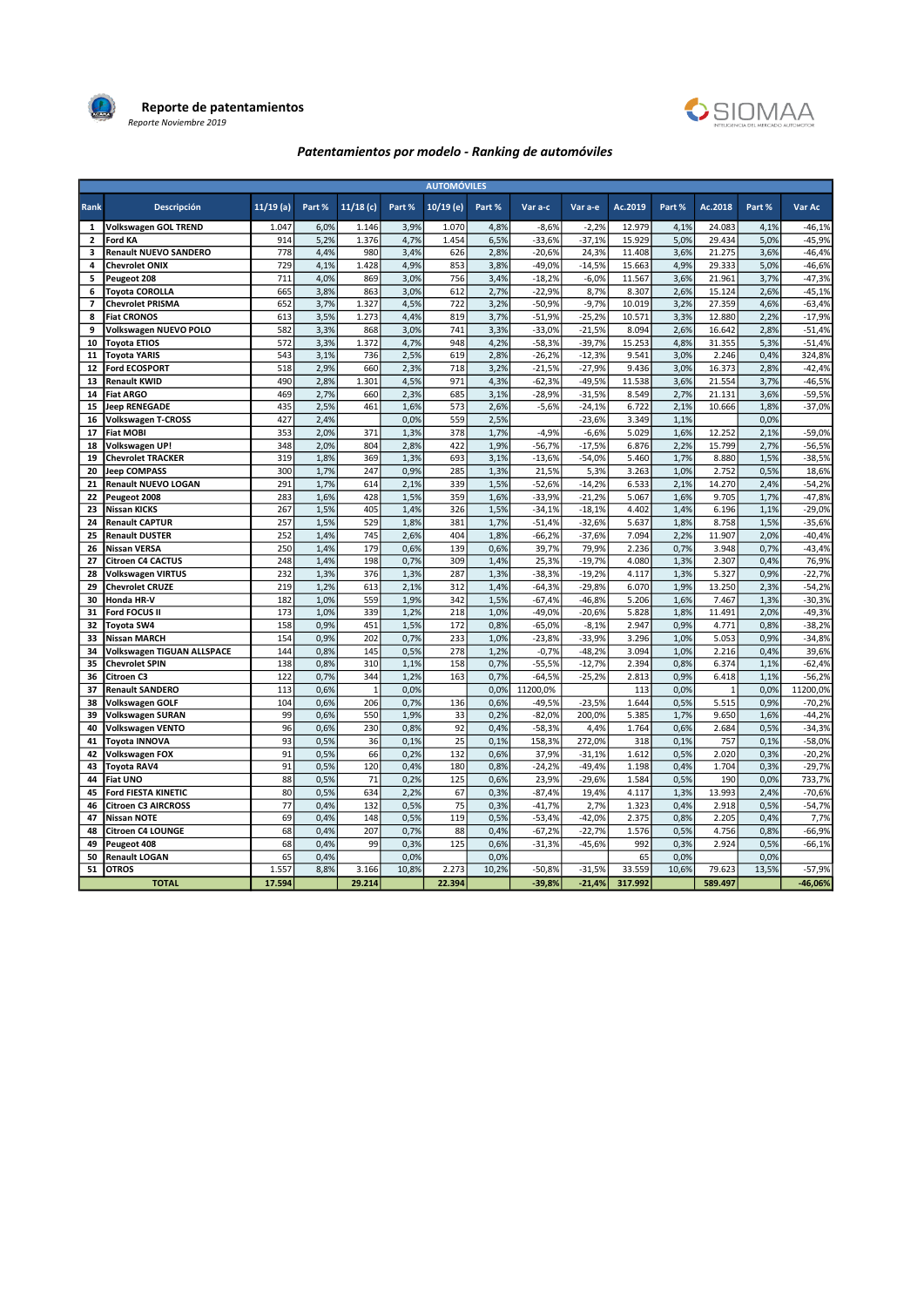

Reporte de patentamientos Reporte Noviembre 2019



## Patentamientos por modelo - Ranking de automóviles

|                         |                                   |             |        |                |        | <b>AUTOMÓVILES</b> |        |          |          |         |        |              |        |           |
|-------------------------|-----------------------------------|-------------|--------|----------------|--------|--------------------|--------|----------|----------|---------|--------|--------------|--------|-----------|
| Rank                    | Descripción                       | $11/19$ (a) | Part % | 11/18(c)       | Part % | 10/19 (e)          | Part % | Var a-c  | Var a-e  | Ac.2019 | Part % | Ac.2018      | Part % | Var Ac    |
| $\mathbf{1}$            | Volkswagen GOL TREND              | 1.047       | 6,0%   | 1.146          | 3,9%   | 1.070              | 4,8%   | $-8,6%$  | $-2,2%$  | 12.979  | 4,1%   | 24.083       | 4,1%   | $-46,1%$  |
| $\overline{2}$          | Ford KA                           | 914         | 5,2%   | 1.376          | 4,7%   | 1.454              | 6,5%   | $-33,6%$ | $-37,1%$ | 15.929  | 5,0%   | 29.434       | 5,0%   | $-45,9%$  |
| 3                       | Renault NUEVO SANDERO             | 778         | 4,4%   | 980            | 3,4%   | 626                | 2,8%   | $-20,6%$ | 24,3%    | 11.408  | 3,6%   | 21.275       | 3,6%   | $-46,4%$  |
| 4                       | <b>Chevrolet ONIX</b>             | 729         | 4,1%   | 1.428          | 4,9%   | 853                | 3,8%   | $-49,0%$ | $-14,5%$ | 15.663  | 4,9%   | 29.333       | 5,0%   | $-46,6%$  |
| 5                       | Peugeot 208                       | 711         | 4,0%   | 869            | 3,0%   | 756                | 3,4%   | $-18,2%$ | $-6,0%$  | 11.567  | 3,6%   | 21.961       | 3,7%   | $-47,3%$  |
| 6                       | <b>Toyota COROLLA</b>             | 665         | 3,8%   | 863            | 3,0%   | 612                | 2.7%   | $-22,9%$ | 8,7%     | 8.307   | 2,6%   | 15.124       | 2,6%   | $-45,1%$  |
| $\overline{\mathbf{z}}$ | <b>Chevrolet PRISMA</b>           | 652         | 3,7%   | 1.327          | 4,5%   | 722                | 3,2%   | $-50,9%$ | $-9,7%$  | 10.019  | 3,2%   | 27.359       | 4,6%   | $-63,4%$  |
| 8                       | <b>Fiat CRONOS</b>                | 613         | 3,5%   | 1.273          | 4,4%   | 819                | 3,7%   | $-51,9%$ | $-25,2%$ | 10.571  | 3,3%   | 12.880       | 2,2%   | $-17,9%$  |
| 9                       | Volkswagen NUEVO POLO             | 582         | 3,3%   | 868            | 3,0%   | 741                | 3,3%   | $-33,0%$ | $-21,5%$ | 8.094   | 2,6%   | 16.642       | 2,8%   | $-51,4%$  |
| 10                      | <b>Toyota ETIOS</b>               | 572         | 3,3%   | 1.372          | 4,7%   | 948                | 4,2%   | $-58,3%$ | $-39,7%$ | 15.253  | 4,8%   | 31.355       | 5,3%   | $-51,4%$  |
| 11                      | <b>Toyota YARIS</b>               | 543         | 3,1%   | 736            | 2,5%   | 619                | 2,8%   | $-26,2%$ | $-12,3%$ | 9.541   | 3,0%   | 2.246        | 0,4%   | 324,8%    |
| 12                      | <b>Ford ECOSPORT</b>              | 518         | 2,9%   | 660            | 2,3%   | 718                | 3,2%   | $-21,5%$ | $-27.9%$ | 9.436   | 3,0%   | 16.373       | 2,8%   | $-42,4%$  |
| 13                      | <b>Renault KWID</b>               | 490         | 2,8%   | 1.301          | 4,5%   | 971                | 4,3%   | $-62,3%$ | $-49,5%$ | 11.538  | 3,6%   | 21.554       | 3,7%   | $-46,5%$  |
| 14                      | <b>Fiat ARGO</b>                  | 469         | 2,7%   | 660            | 2,3%   | 685                | 3,1%   | $-28,9%$ | $-31,5%$ | 8.549   | 2,7%   | 21.131       | 3,6%   | $-59,5%$  |
| 15                      | <b>Jeep RENEGADE</b>              | 435         | 2,5%   | 461            | 1,6%   | 573                | 2,6%   | $-5,6%$  | $-24,1%$ | 6.722   | 2,1%   | 10.666       | 1,8%   | $-37,0%$  |
| 16                      | <b>Volkswagen T-CROSS</b>         | 427         | 2,4%   |                | 0,0%   | 559                | 2,5%   |          | $-23,6%$ | 3.349   | 1,1%   |              | 0,0%   |           |
| 17                      | <b>Fiat MOBI</b>                  | 353         | 2,0%   | 371            | 1,3%   | 378                | 1,7%   | $-4,9%$  | $-6,6%$  | 5.029   | 1,6%   | 12.252       | 2,1%   | $-59,0%$  |
| 18                      | <b>Volkswagen UP!</b>             | 348         | 2,0%   | 804            | 2,8%   | 422                | 1,9%   | $-56,7%$ | $-17,5%$ | 6.876   | 2,2%   | 15.799       | 2,7%   | $-56,5%$  |
| 19                      | <b>Chevrolet TRACKER</b>          | 319         | 1,8%   | 369            | 1,3%   | 693                | 3,1%   | $-13,6%$ | $-54,0%$ | 5.460   | 1,7%   | 8.880        | 1,5%   | $-38,5%$  |
| 20                      | <b>Jeep COMPASS</b>               | 300         | 1,7%   | 247            | 0,9%   | 285                | 1,3%   | 21,5%    | 5,3%     | 3.263   | 1,0%   | 2.752        | 0,5%   | 18,6%     |
| 21                      | <b>Renault NUEVO LOGAN</b>        | 291         | 1,7%   | 614            | 2,1%   | 339                | 1,5%   | $-52,6%$ | $-14,2%$ | 6.533   | 2,1%   | 14.270       | 2,4%   | $-54,2%$  |
| 22                      | Peugeot 2008                      | 283         | 1,6%   | 428            | 1,5%   | 359                | 1,6%   | $-33,9%$ | $-21,2%$ | 5.067   | 1,6%   | 9.705        | 1,7%   | $-47,8%$  |
| 23                      | <b>Nissan KICKS</b>               | 267         | 1,5%   | 405            | 1,4%   | 326                | 1,5%   | $-34,1%$ | $-18,1%$ | 4.402   | 1,4%   | 6.196        | 1,1%   | $-29,0%$  |
| 24                      | <b>Renault CAPTUR</b>             | 257         | 1,5%   | 529            | 1,8%   | 381                | 1,7%   | $-51,4%$ | $-32,6%$ | 5.637   | 1,8%   | 8.758        | 1,5%   | $-35,6%$  |
| 25                      | <b>Renault DUSTER</b>             | 252         | 1,4%   | 745            | 2,6%   | 404                | 1,8%   | $-66,2%$ | $-37,6%$ | 7.094   | 2,2%   | 11.907       | 2,0%   | $-40,4%$  |
| 26                      | <b>Nissan VERSA</b>               | 250         | 1,4%   | 179            | 0,6%   | 139                | 0,6%   | 39,7%    | 79,9%    | 2.236   | 0,7%   | 3.948        | 0,7%   | $-43,4%$  |
| 27                      | <b>Citroen C4 CACTUS</b>          | 248         | 1,4%   | 198            | 0,7%   | 309                | 1,4%   | 25,3%    | $-19,7%$ | 4.080   | 1,3%   | 2.307        | 0,4%   | 76,9%     |
| 28                      | <b>Volkswagen VIRTUS</b>          | 232         | 1,3%   | 376            | 1,3%   | 287                | 1,3%   | $-38,3%$ | $-19,2%$ | 4.117   | 1,3%   | 5.327        | 0,9%   | $-22,7%$  |
| 29                      | <b>Chevrolet CRUZE</b>            | 219         | 1,2%   | 613            | 2,1%   | 312                | 1,4%   | $-64,3%$ | $-29,8%$ | 6.070   | 1,9%   | 13.250       | 2,3%   | $-54,2%$  |
| 30                      | Honda HR-V                        | 182         | 1,0%   | 559            | 1,9%   | 342                | 1,5%   | $-67,4%$ | $-46,8%$ | 5.206   | 1,6%   | 7.467        | 1,3%   | $-30,3%$  |
| 31                      | Ford FOCUS II                     | 173         | 1,0%   | 339            | 1,2%   | 218                | 1,0%   | $-49,0%$ | $-20,6%$ | 5.828   | 1,8%   | 11.491       | 2,0%   | $-49,3%$  |
| 32                      | Toyota SW4                        | 158         | 0,9%   | 451            | 1,5%   | 172                | 0,8%   | $-65,0%$ | $-8,1%$  | 2.947   | 0,9%   | 4.771        | 0,8%   | $-38,2%$  |
| 33                      | <b>Nissan MARCH</b>               | 154         | 0,9%   | 202            | 0,7%   | 233                | 1,0%   | $-23,8%$ | $-33,9%$ | 3.296   | 1,0%   | 5.053        | 0,9%   | $-34,8%$  |
| 34                      | <b>Volkswagen TIGUAN ALLSPACE</b> | 144         | 0,8%   | 145            | 0,5%   | 278                | 1,2%   | $-0,7%$  | $-48,2%$ | 3.094   | 1,0%   | 2.216        | 0,4%   | 39,6%     |
| 35                      | <b>Chevrolet SPIN</b>             | 138         | 0,8%   | 310            | 1,1%   | 158                | 0,7%   | $-55,5%$ | $-12,7%$ | 2.394   | 0,8%   | 6.374        | 1,1%   | $-62,4%$  |
| 36                      | Citroen C3                        | 122         | 0,7%   | 344            | 1,2%   | 163                | 0,7%   | $-64,5%$ | $-25,2%$ | 2.813   | 0,9%   | 6.418        | 1,1%   | $-56,2%$  |
| 37                      | <b>Renault SANDERO</b>            | 113         | 0,6%   | $\overline{1}$ | 0,0%   |                    | 0,0%   | 11200,0% |          | 113     | 0,0%   | $\mathbf{1}$ | 0,0%   | 11200,0%  |
| 38                      | <b>Volkswagen GOLF</b>            | 104         | 0,6%   | 206            | 0,7%   | 136                | 0,6%   | $-49,5%$ | $-23,5%$ | 1.644   | 0,5%   | 5.515        | 0,9%   | $-70,2%$  |
| 39                      | <b>Volkswagen SURAN</b>           | 99          | 0,6%   | 550            | 1,9%   | 33                 | 0,2%   | $-82,0%$ | 200.0%   | 5.385   | 1,7%   | 9.650        | 1,6%   | $-44,2%$  |
| 40                      | <b>Volkswagen VENTO</b>           | 96          | 0,6%   | 230            | 0,8%   | 92                 | 0,4%   | $-58,3%$ | 4,4%     | 1.764   | 0,6%   | 2.684        | 0,5%   | $-34,3%$  |
| 41                      | <b>Toyota INNOVA</b>              | 93          | 0,5%   | 36             | 0,1%   | 25                 | 0,1%   | 158,3%   | 272,0%   | 318     | 0,1%   | 757          | 0,1%   | $-58,0%$  |
| 42                      | Volkswagen FOX                    | 91          | 0,5%   | 66             | 0,2%   | 132                | 0,6%   | 37,9%    | $-31,1%$ | 1.612   | 0,5%   | 2.020        | 0,3%   | $-20,2%$  |
| 43                      | <b>Toyota RAV4</b>                | 91          | 0,5%   | 120            | 0,4%   | 180                | 0,8%   | $-24,2%$ | $-49,4%$ | 1.198   | 0,4%   | 1.704        | 0,3%   | $-29,7%$  |
| 44                      | <b>Fiat UNO</b>                   | 88          | 0,5%   | 71             | 0,2%   | 125                | 0,6%   | 23,9%    | $-29,6%$ | 1.584   | 0,5%   | 190          | 0,0%   | 733,7%    |
| 45                      | Ford FIESTA KINETIC               | 80          | 0,5%   | 634            | 2,2%   | 67                 | 0,3%   | $-87,4%$ | 19,4%    | 4.117   | 1,3%   | 13.993       | 2,4%   | $-70,6%$  |
| 46                      | <b>Citroen C3 AIRCROSS</b>        | 77          | 0,4%   | 132            | 0,5%   | 75                 | 0,3%   | $-41,7%$ | 2,7%     | 1.323   | 0,4%   | 2.918        | 0,5%   | $-54,7%$  |
| 47                      | <b>Nissan NOTE</b>                | 69          | 0,4%   | 148            | 0,5%   | 119                | 0,5%   | $-53,4%$ | $-42,0%$ | 2.375   | 0,8%   | 2.205        | 0,4%   | 7,7%      |
| 48                      | <b>Citroen C4 LOUNGE</b>          | 68          | 0,4%   | 207            | 0,7%   | 88                 | 0,4%   | $-67,2%$ | $-22,7%$ | 1.576   | 0,5%   | 4.756        | 0,8%   | $-66,9%$  |
| 49                      | Peugeot 408                       | 68          | 0,4%   | 99             | 0,3%   | 125                | 0,6%   | $-31,3%$ | $-45,6%$ | 992     | 0,3%   | 2.924        | 0,5%   | $-66,1%$  |
| 50                      | <b>Renault LOGAN</b>              | 65          | 0,4%   |                | 0,0%   |                    | 0,0%   |          |          | 65      | 0,0%   |              | 0,0%   |           |
| 51                      | <b>OTROS</b>                      | 1.557       | 8,8%   | 3.166          | 10,8%  | 2.273              | 10,2%  | $-50.8%$ | $-31.5%$ | 33.559  | 10,6%  | 79.623       | 13,5%  | $-57,9%$  |
|                         | <b>TOTAL</b>                      | 17.594      |        | 29.214         |        | 22.394             |        | $-39.8%$ | $-21.4%$ | 317.992 |        | 589.497      |        | $-46.06%$ |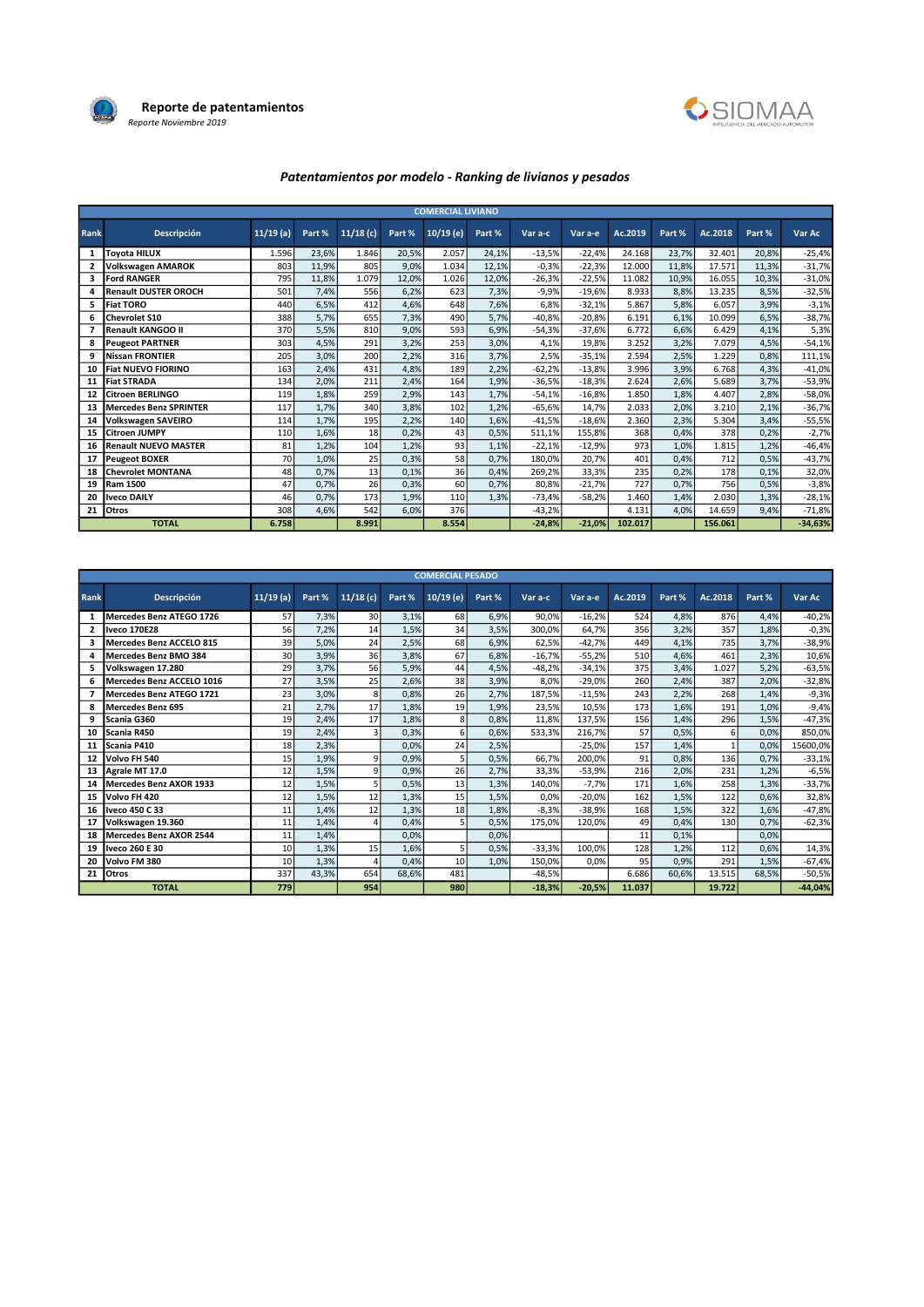



# Patentamientos por modelo - Ranking de livianos y pesados

|      |                               |             |        |          |        | <b>COMERCIAL LIVIANO</b> |        |          |          |         |        |         |        |           |
|------|-------------------------------|-------------|--------|----------|--------|--------------------------|--------|----------|----------|---------|--------|---------|--------|-----------|
| Rank | <b>Descripción</b>            | $11/19$ (a) | Part % | 11/18(c) | Part % | $10/19$ (e)              | Part % | Var a-c  | Var a-e  | Ac.2019 | Part % | Ac.2018 | Part % | Var Ac    |
| 1    | <b>Tovota HILUX</b>           | 1.596       | 23.6%  | 1.846    | 20,5%  | 2.057                    | 24,1%  | $-13,5%$ | $-22.4%$ | 24.168  | 23,7%  | 32.401  | 20.8%  | $-25,4%$  |
| 2    | <b>Volkswagen AMAROK</b>      | 803         | 11,9%  | 805      | 9,0%   | 1.034                    | 12,1%  | $-0,3%$  | $-22,3%$ | 12.000  | 11,8%  | 17.571  | 11,3%  | $-31,7%$  |
| 3    | <b>Ford RANGER</b>            | 795         | 11,8%  | 1.079    | 12,0%  | 1.026                    | 12,0%  | $-26,3%$ | $-22,5%$ | 11.082  | 10,9%  | 16.055  | 10,3%  | $-31,0%$  |
| 4    | <b>Renault DUSTER OROCH</b>   | 501         | 7,4%   | 556      | 6,2%   | 623                      | 7,3%   | $-9,9%$  | $-19,6%$ | 8.933   | 8,8%   | 13.235  | 8,5%   | $-32,5%$  |
| 5.   | <b>Fiat TORO</b>              | 440         | 6,5%   | 412      | 4,6%   | 648                      | 7,6%   | 6,8%     | $-32,1%$ | 5.867   | 5,8%   | 6.057   | 3,9%   | $-3,1%$   |
| 6    | <b>Chevrolet S10</b>          | 388         | 5,7%   | 655      | 7,3%   | 490                      | 5,7%   | $-40,8%$ | $-20,8%$ | 6.191   | 6,1%   | 10.099  | 6,5%   | $-38,7%$  |
| 7    | Renault KANGOO II             | 370         | 5,5%   | 810      | 9,0%   | 593                      | 6,9%   | $-54,3%$ | $-37,6%$ | 6.772   | 6,6%   | 6.429   | 4,1%   | 5,3%      |
| 8    | <b>Peugeot PARTNER</b>        | 303         | 4,5%   | 291      | 3,2%   | 253                      | 3,0%   | 4,1%     | 19,8%    | 3.252   | 3,2%   | 7.079   | 4,5%   | $-54,1%$  |
| 9    | Nissan FRONTIER               | 205         | 3,0%   | 200      | 2,2%   | 316                      | 3,7%   | 2,5%     | $-35,1%$ | 2.594   | 2,5%   | 1.229   | 0,8%   | 111,1%    |
| 10   | <b>Fiat NUEVO FIORINO</b>     | 163         | 2,4%   | 431      | 4,8%   | 189                      | 2,2%   | $-62,2%$ | $-13,8%$ | 3.996   | 3,9%   | 6.768   | 4,3%   | $-41,0%$  |
| 11   | <b>Fiat STRADA</b>            | 134         | 2,0%   | 211      | 2,4%   | 164                      | 1,9%   | $-36,5%$ | $-18,3%$ | 2.624   | 2,6%   | 5.689   | 3,7%   | $-53,9%$  |
| 12   | Citroen BERLINGO              | 119         | 1,8%   | 259      | 2,9%   | 143                      | 1,7%   | $-54,1%$ | $-16,8%$ | 1.850   | 1,8%   | 4.407   | 2,8%   | $-58,0%$  |
| 13   | <b>Mercedes Benz SPRINTER</b> | 117         | 1,7%   | 340      | 3,8%   | 102                      | 1,2%   | $-65,6%$ | 14,7%    | 2.033   | 2,0%   | 3.210   | 2,1%   | $-36,7%$  |
| 14   | <b>Volkswagen SAVEIRO</b>     | 114         | 1,7%   | 195      | 2,2%   | 140                      | 1,6%   | $-41.5%$ | $-18.6%$ | 2.360   | 2,3%   | 5.304   | 3,4%   | $-55,5%$  |
| 15   | <b>Citroen JUMPY</b>          | 110         | 1,6%   | 18       | 0,2%   | 43                       | 0,5%   | 511,1%   | 155,8%   | 368     | 0,4%   | 378     | 0,2%   | $-2,7%$   |
| 16   | <b>Renault NUEVO MASTER</b>   | 81          | 1,2%   | 104      | 1,2%   | 93                       | 1,1%   | $-22,1%$ | $-12,9%$ | 973     | 1,0%   | 1.815   | 1,2%   | $-46,4%$  |
| 17   | <b>Peugeot BOXER</b>          | 70          | 1,0%   | 25       | 0,3%   | 58                       | 0,7%   | 180,0%   | 20,7%    | 401     | 0,4%   | 712     | 0,5%   | $-43,7%$  |
| 18   | <b>Chevrolet MONTANA</b>      | 48          | 0,7%   | 13       | 0,1%   | 36                       | 0,4%   | 269,2%   | 33,3%    | 235     | 0,2%   | 178     | 0,1%   | 32,0%     |
| 19   | <b>Ram 1500</b>               | 47          | 0,7%   | 26       | 0,3%   | 60                       | 0,7%   | 80,8%    | $-21,7%$ | 727     | 0,7%   | 756     | 0,5%   | $-3,8%$   |
| 20   | <b>Iveco DAILY</b>            | 46          | 0,7%   | 173      | 1,9%   | 110                      | 1,3%   | $-73,4%$ | $-58,2%$ | 1.460   | 1,4%   | 2.030   | 1,3%   | $-28,1%$  |
| 21   | <b>Otros</b>                  | 308         | 4,6%   | 542      | 6.0%   | 376                      |        | $-43,2%$ |          | 4.131   | 4,0%   | 14.659  | 9,4%   | $-71,8%$  |
|      | <b>TOTAL</b>                  | 6.758       |        | 8.991    |        | 8.554                    |        | $-24,8%$ | $-21,0%$ | 102.017 |        | 156.061 |        | $-34,63%$ |

|              | <b>COMERCIAL PESADO</b>        |             |        |                 |        |             |        |          |          |         |        |         |        |           |
|--------------|--------------------------------|-------------|--------|-----------------|--------|-------------|--------|----------|----------|---------|--------|---------|--------|-----------|
| Rank         | <b>Descripción</b>             | $11/19$ (a) | Part % | 11/18(c)        | Part % | $10/19$ (e) | Part % | Var a-c  | Var a-e  | Ac.2019 | Part % | Ac.2018 | Part % | Var Ac    |
| 1            | Mercedes Benz ATEGO 1726       | 57          | 7,3%   | 30 <sup>1</sup> | 3,1%   | 68          | 6,9%   | 90,0%    | $-16,2%$ | 524     | 4,8%   | 876     | 4,4%   | $-40,2%$  |
| $\mathbf{2}$ | <b>Iveco 170E28</b>            | 56          | 7,2%   | 14              | 1,5%   | 34          | 3,5%   | 300.0%   | 64.7%    | 356     | 3.2%   | 357     | 1.8%   | $-0,3%$   |
| 3            | Mercedes Benz ACCELO 815       | 39          | 5,0%   | 24              | 2,5%   | 68          | 6,9%   | 62,5%    | $-42.7%$ | 449     | 4,1%   | 735     | 3,7%   | $-38,9%$  |
| 4            | Mercedes Benz BMO 384          | 30          | 3,9%   | 36              | 3,8%   | 67          | 6,8%   | $-16,7%$ | $-55,2%$ | 510     | 4,6%   | 461     | 2.3%   | 10,6%     |
| 5            | Volkswagen 17.280              | 29          | 3,7%   | <b>56</b>       | 5,9%   | 44          | 4,5%   | $-48,2%$ | $-34,1%$ | 375     | 3,4%   | 1.027   | 5,2%   | $-63,5%$  |
| 6            | Mercedes Benz ACCELO 1016      | 27          | 3,5%   | 25              | 2,6%   | 38          | 3,9%   | 8,0%     | $-29,0%$ | 260     | 2.4%   | 387     | 2,0%   | $-32,8%$  |
|              | Mercedes Benz ATEGO 1721       | 23          | 3,0%   | 8               | 0,8%   | 26          | 2,7%   | 187,5%   | $-11,5%$ | 243     | 2,2%   | 268     | 1,4%   | $-9,3%$   |
| 8            | <b>Mercedes Benz 695</b>       | 21          | 2,7%   | 17              | 1,8%   | 19          | 1,9%   | 23,5%    | 10,5%    | 173     | 1,6%   | 191     | 1.0%   | $-9,4%$   |
| 9            | Scania G360                    | 19          | 2,4%   | 17              | 1,8%   | 8           | 0,8%   | 11,8%    | 137,5%   | 156     | 1,4%   | 296     | 1,5%   | $-47,3%$  |
| 10           | Scania R450                    | 19          | 2,4%   |                 | 0,3%   | 6           | 0,6%   | 533.3%   | 216.7%   | 57      | 0.5%   | 6       | 0.0%   | 850,0%    |
| 11           | Scania P410                    | 18          | 2,3%   |                 | 0,0%   | 24          | 2,5%   |          | $-25,0%$ | 157     | 1,4%   |         | 0,0%   | 15600,0%  |
| 12           | Volvo FH 540                   | 15          | 1,9%   | 9               | 0,9%   |             | 0,5%   | 66.7%    | 200.0%   | 91      | 0.8%   | 136     | 0.7%   | $-33,1%$  |
| 13           | Agrale MT 17.0                 | 12          | 1,5%   | q               | 0,9%   | 26          | 2,7%   | 33,3%    | $-53,9%$ | 216     | 2,0%   | 231     | 1,2%   | $-6,5%$   |
| 14           | Mercedes Benz AXOR 1933        | 12          | 1,5%   |                 | 0,5%   | 13          | 1,3%   | 140.0%   | $-7.7%$  | 171     | 1.6%   | 258     | 1.3%   | $-33,7%$  |
| 15           | Volvo FH 420                   | 12          | 1,5%   | 12              | 1,3%   | 15          | 1,5%   | 0.0%     | $-20,0%$ | 162     | 1,5%   | 122     | 0.6%   | 32,8%     |
| 16           | Iveco 450 C 33                 | 11          | 1,4%   | 12              | 1,3%   | 18          | 1,8%   | $-8,3%$  | $-38,9%$ | 168     | 1,5%   | 322     | 1,6%   | $-47,8%$  |
| 17           | Volkswagen 19.360              | 11          | 1,4%   |                 | 0,4%   |             | 0,5%   | 175,0%   | 120,0%   | 49      | 0.4%   | 130     | 0.7%   | $-62,3%$  |
| 18           | <b>Mercedes Benz AXOR 2544</b> | 11          | 1,4%   |                 | 0,0%   |             | 0,0%   |          |          | 11      | 0.1%   |         | 0,0%   |           |
| 19           | Iveco 260 E 30                 | 10          | 1,3%   | 15              | 1,6%   |             | 0,5%   | $-33.3%$ | 100,0%   | 128     | 1,2%   | 112     | 0,6%   | 14,3%     |
| 20           | Volvo FM 380                   | 10          | 1,3%   |                 | 0,4%   | 10          | 1,0%   | 150,0%   | 0,0%     | 95      | 0.9%   | 291     | 1,5%   | $-67,4%$  |
| 21           | Otros                          | 337         | 43,3%  | 654             | 68,6%  | 481         |        | $-48,5%$ |          | 6.686   | 60.6%  | 13.515  | 68,5%  | $-50,5%$  |
|              | <b>TOTAL</b>                   | 779         |        | 954             |        | 980         |        | $-18,3%$ | $-20,5%$ | 11.037  |        | 19.722  |        | $-44,04%$ |